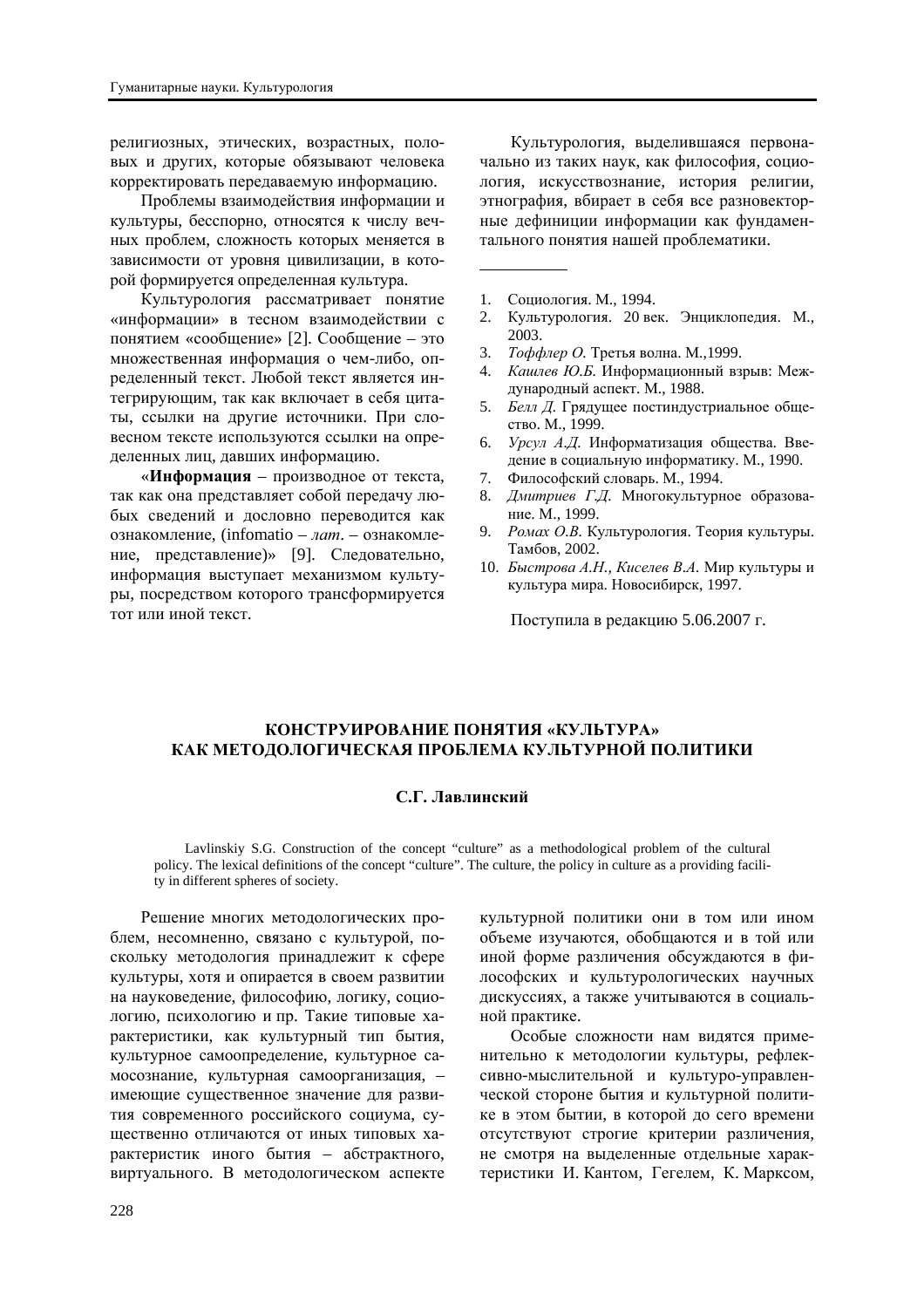религиозных, этических, возрастных, половых и других, которые обязывают человека корректировать передаваемую информацию.

Проблемы взаимолействия информации и культуры, бесспорно, относятся к числу вечных проблем, сложность которых меняется в зависимости от уровня цивилизации, в которой формируется определенная культура.

Культурология рассматривает понятие «информации» в тесном взаимодействии с понятием «сообщение» [2]. Сообщение – это множественная информация о чем-либо, определенный текст. Любой текст является интегрирующим, так как включает в себя цитаты, ссылки на другие источники. При словесном тексте используются ссылки на определенных лиц, давших информацию.

«Информация – производное от текста, так как она представляет собой передачу любых сведений и дословно переводится как ознакомление, (infomatio – *лат.* – ознакомление, представление)» [9]. Следовательно, информация выступает механизмом культуры, посредством которого трансформируется тот или иной текст.

Культурология, выделившаяся первоначально из таких наук, как философия, социология, искусствознание, история религии, этнография, вбирает в себя все разновекторные дефиниции информации как фундаментального понятия нашей проблематики.

- 1. Социология. М., 1994.
- 2. Культурология. 20 век. Энциклопедия. М., 2003.
- 3. *Тоффлер О*. Третья волна. М.,1999.
- 4. *Кашлев Ю.Б.* Информационный взрыв: Межлународный аспект. М., 1988.
- 5. *Белл Д*. Грядущее постиндустриальное общество. М., 1999.
- 6. Урсул А.Д. Информатизация общества. Введение в социальную информатику. М., 1990.
- 7. Философский словарь. М., 1994.
- 8. *Дмитриев Г.Д.* Многокультурное образование. М., 1999.
- 9. Ромах О.В. Культурология. Теория культуры. Тамбов, 2002.
- 10. *Быстрова А.Н., Киселев В.А.* Мир культуры и культура мира. Новосибирск, 1997.

Поступила в редакцию 5.06.2007 г.

## КОНСТРУИРОВАНИЕ ПОНЯТИЯ «КУЛЬТУРА» КАК МЕТОДОЛОГИЧЕСКАЯ ПРОБЛЕМА КУЛЬТУРНОЙ ПОЛИТИКИ

## $C$ . Г. Лавлинский

Lavlinskiy S.G. Construction of the concept "culture" as a methodological problem of the cultural policy. The lexical definitions of the concept "culture". The culture, the policy in culture as a providing facility in different spheres of society.

Решение многих методологических проблем, несомненно, связано с культурой, поскольку методология принадлежит к сфере культуры, хотя и опирается в своем развитии на науковеление, философию, логику, социологию, психологию и пр. Такие типовые характеристики, как культурный тип бытия, культурное самоопределение, культурное самосознание, культурная самоорганизация, имеющие существенное значение для развития современного российского социума, сушественно отличаются от иных типовых характеристик иного бытия – абстрактного, виртуального. В методологическом аспекте

культурной политики они в том или ином объеме изучаются, обобщаются и в той или иной форме различения обсуждаются в философских и культурологических научных дискуссиях, а также учитываются в социальной практике.

Особые сложности нам видятся применительно к методологии культуры, рефлексивно-мыслительной и культуро-управленческой стороне бытия и культурной политике в этом бытии, в которой до сего времени отсутствуют строгие критерии различения. не смотря на выделенные отдельные характеристики И. Кантом, Гегелем, К. Марксом,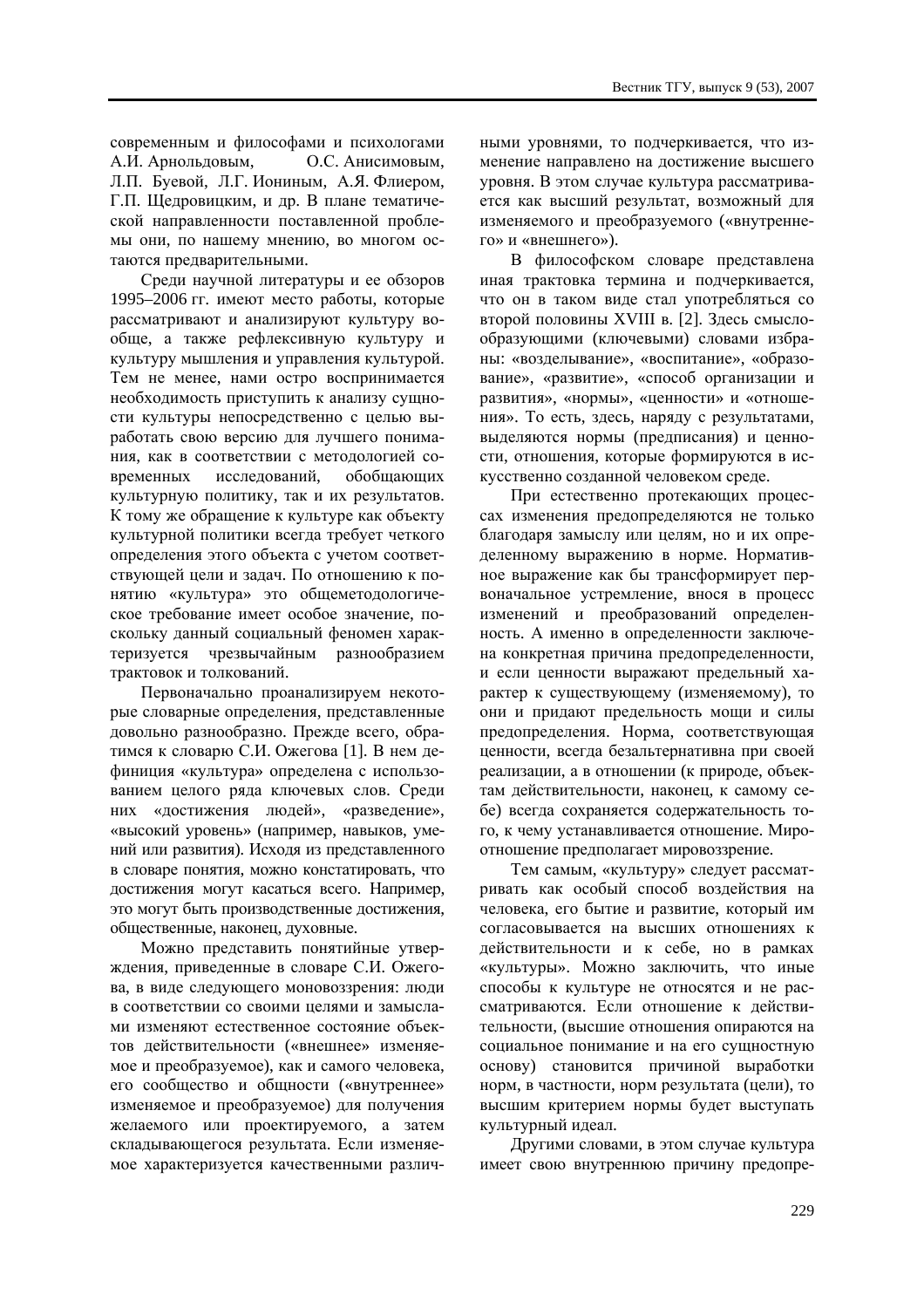современным и философами и психологами А.И. Арнольдовым, О.С. Анисимовым, Л.П. Буевой, Л.Г. Иониным, А.Я. Флиером, Г.П. Шелровицким, и лр. В плане тематической направленности поставленной проблемы они, по нашему мнению, во многом остаются предварительными.

Среди научной литературы и ее обзоров 1995–2006 гг. имеют место работы, которые рассматривают и анализируют культуру вообще, а также рефлексивную культуру и культуру мышления и управления культурой. Тем не менее, нами остро воспринимается необходимость приступить к анализу сущности культуры непосредственно с целью выработать свою версию для лучшего понимания, как в соответствии с метолологией современных исследований, обобщающих культурную политику, так и их результатов. К тому же обращение к культуре как объекту культурной политики всегда требует четкого определения этого объекта с учетом соответствующей цели и задач. По отношению к понятию «культура» это общеметодологичекое требование имеет особое значение, поскольку данный социальный феномен характеризуется чрезвычайным разнообразием трактовок и толкований.

Первоначально проанализируем некоторые словарные определения, представленные довольно разнообразно. Прежде всего, обратимся к словарю С.И. Ожегова [1]. В нем дефиниция «культура» определена с использованием целого ряда ключевых слов. Среди них «достижения людей», «разведение», «высокий уровень» (например, навыков, умений или развития). Исходя из представленного в словаре понятия, можно констатировать, что достижения могут касаться всего. Например, это могут быть производственные достижения, обшественные, наконец, духовные.

Можно представить понятийные утверждения, приведенные в словаре С.И. Ожегова, в виде следующего моновоззрения: люди в соответствии со своими нелями и замыслами изменяют естественное состояние объектов действительности («внешнее» изменяемое и преобразуемое), как и самого человека, его сообщество и общности («внутреннее» изменяемое и преобразуемое) для получения желаемого или проектируемого, а затем складывающегося результата. Если изменяемое характеризуется качественными различ-

ными уровнями, то подчеркивается, что изменение направлено на достижение высшего уровня. В этом случае культура рассматривается как высший результат, возможный для изменяемого и преобразуемого («внутреннего» и «внешнего»).

В философском словаре представлена иная трактовка термина и подчеркивается, что он в таком виде стал употребляться со второй половины XVIII в. [2]. Здесь смыслообразующими (ключевыми) словами избраны: «возделывание», «воспитание», «образование», «развитие», «способ организации и развития», «нормы», «ценности» и «отношения». То есть, здесь, наряду с результатами, выделяются нормы (предписания) и ценности, отношения, которые формируются в искусственно созданной человеком среде.

При естественно протекающих процессах изменения предопределяются не только благодаря замыслу или целям, но и их определенному выражению в норме. Нормативное выражение как бы трансформирует первоначальное устремление, внося в процесс изменений и преобразований определенность. А именно в определенности заключена конкретная причина предопределенности, и если ценности выражают предельный характер к существующему (изменяемому), то они и придают предельность мощи и силы предопределения. Норма, соответствующая ценности, всегда безальтернативна при своей реализации, а в отношении (к природе, объектам действительности, наконец, к самому себе) всегда сохраняется содержательность того, к чему устанавливается отношение. Мироотношение предполагает мировоззрение.

Тем самым, «культуру» следует рассматривать как особый способ воздействия на человека, его бытие и развитие, который им согласовывается на высших отношениях к действительности и к себе, но в рамках «культуры». Можно заключить, что иные способы к культуре не относятся и не рассматриваются. Если отношение к действительности, (высшие отношения опираются на социальное понимание и на его сущностную основу) становится причиной выработки норм. в частности, норм результата (цели), то высшим критерием нормы будет выступать культурный илеал.

Другими словами, в этом случае культура имеет свою внутреннюю причину предопре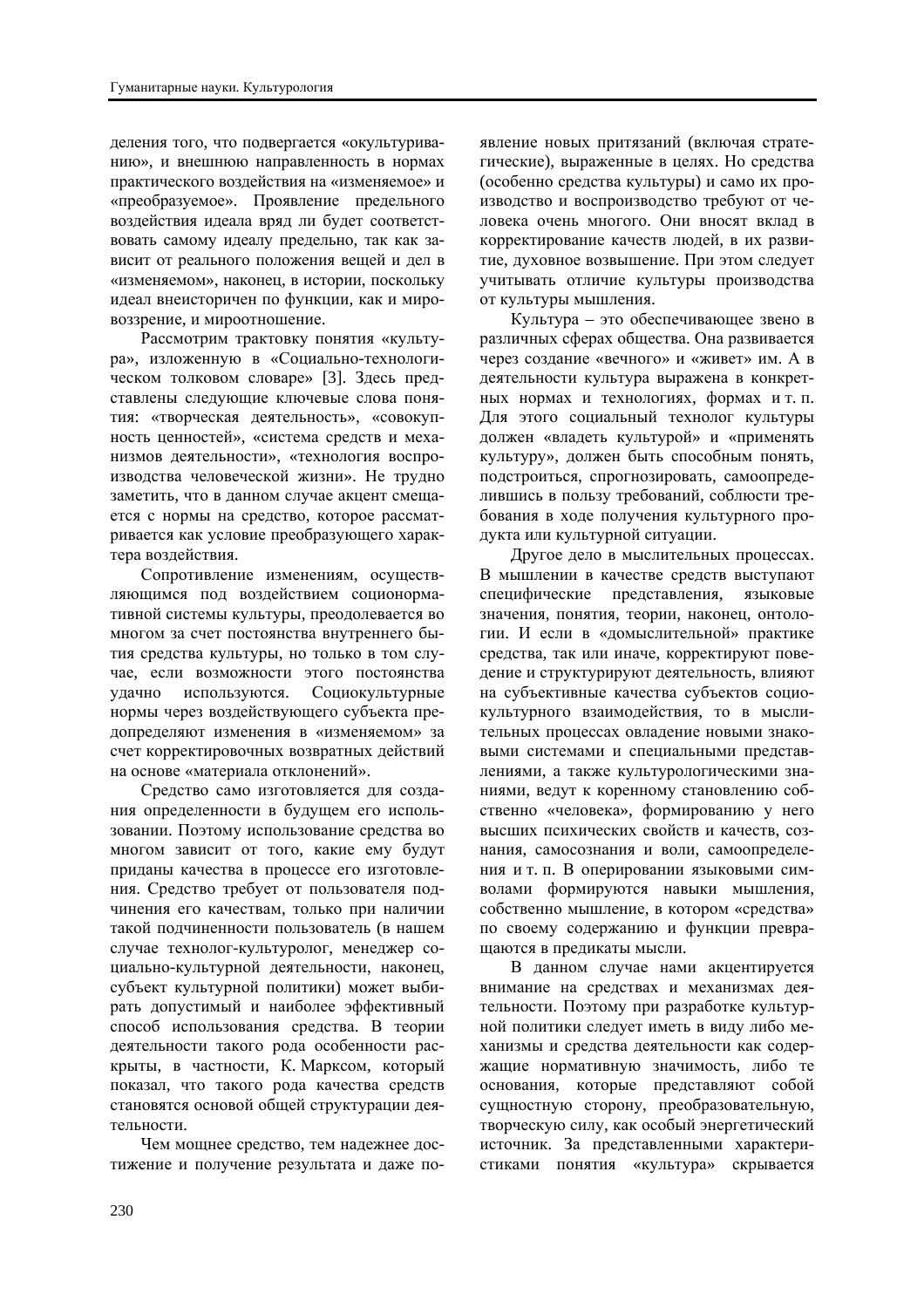деления того, что подвергается «окультуриванию», и внешнюю направленность в нормах практического воздействия на «изменяемое» и «преобразуемое». Проявление предельного воздействия идеала вряд ли будет соответствовать самому идеалу предельно, так как зависит от реального положения вещей и дел в «изменяемом», наконец, в истории, поскольку идеал внеисторичен по функции, как и мировоззрение, и мироотношение.

Рассмотрим трактовку понятия «культура», изложенную в «Социально-технологическом толковом словаре» [3]. Здесь представлены следующие ключевые слова понятия: «творческая деятельность», «совокупность ценностей», «система средств и меха-НИЗМОВ ДЕЯТЕЛЬНОСТИ», «ТЕХНОЛОГИЯ ВОСПРОизводства человеческой жизни». Не трудно заметить, что в данном случае акцент смещается с нормы на средство, которое рассматривается как условие преобразующего характера воздействия.

Сопротивление изменениям, осуществляющимся под воздействием соционормативной системы культуры, преодолевается во многом за счет постоянства внутреннего бытия средства культуры, но только в том случае, если возможности этого постоянства удачно используются. Социокультурные нормы через воздействующего субъекта предопределяют изменения в «изменяемом» за счет корректировочных возвратных действий на основе «материала отклонений».

Средство само изготовляется для создания определенности в будущем его использовании. Поэтому использование средства во многом зависит от того, какие ему будут приданы качества в процессе его изготовления. Средство требует от пользователя подчинения его качествам, только при наличии такой подчиненности пользователь (в нашем случае технолог-культуролог, менеджер соииально-культурной деятельности, наконец, субъект культурной политики) может выбирать допустимый и наиболее эффективный способ использования средства. В теории деятельности такого рода особенности раскрыты, в частности, К. Марксом, который показал, что такого рода качества средств становятся основой общей структурации деятельности.

Чем мощнее средство, тем надежнее достижение и получение результата и даже по-

явление новых притязаний (включая стратегические), выраженные в целях. Но средства (особенно средства культуры) и само их производство и воспроизводство требуют от человека очень многого. Они вносят вклад в корректирование качеств людей, в их развитие, духовное возвышение. При этом следует учитывать отличие культуры производства от культуры мышления.

Культура – это обеспечивающее звено в различных сферах общества. Она развивается через создание «вечного» и «живет» им. А в деятельности культура выражена в конкретных нормах и технологиях, формах и т. п. Для этого социальный технолог культуры должен «владеть культурой» и «применять культуру», должен быть способным понять, подстроиться, спрогнозировать, самоопределившись в пользу требований, соблюсти требования в ходе получения культурного продукта или культурной ситуации.

Другое дело в мыслительных процессах. В мышлении в качестве средств выступают специфические представления, языковые значения, понятия, теории, наконец, онтологии. И если в «домыслительной» практике средства, так или иначе, корректируют поведение и структурируют деятельность, влияют на субъективные качества субъектов социокультурного взаимодействия, то в мыслительных процессах овладение новыми знаковыми системами и специальными представлениями, а также культурологическими знаниями, ведут к коренному становлению собственно «человека», формированию у него высших психических свойств и качеств, сознания, самосознания и воли, самоопределения и т. п. В оперировании языковыми символами формируются навыки мышления, собственно мышление, в котором «средства» по своему содержанию и функции превращаются в предикаты мысли.

В ланном случае нами акцентируется внимание на средствах и механизмах деятельности. Поэтому при разработке культурной политики следует иметь в виду либо механизмы и средства деятельности как содержащие нормативную значимость, либо те основания, которые представляют собой сущностную сторону, преобразовательную, творческую силу, как особый энергетический источник. За представленными характеристиками понятия «культура» скрывается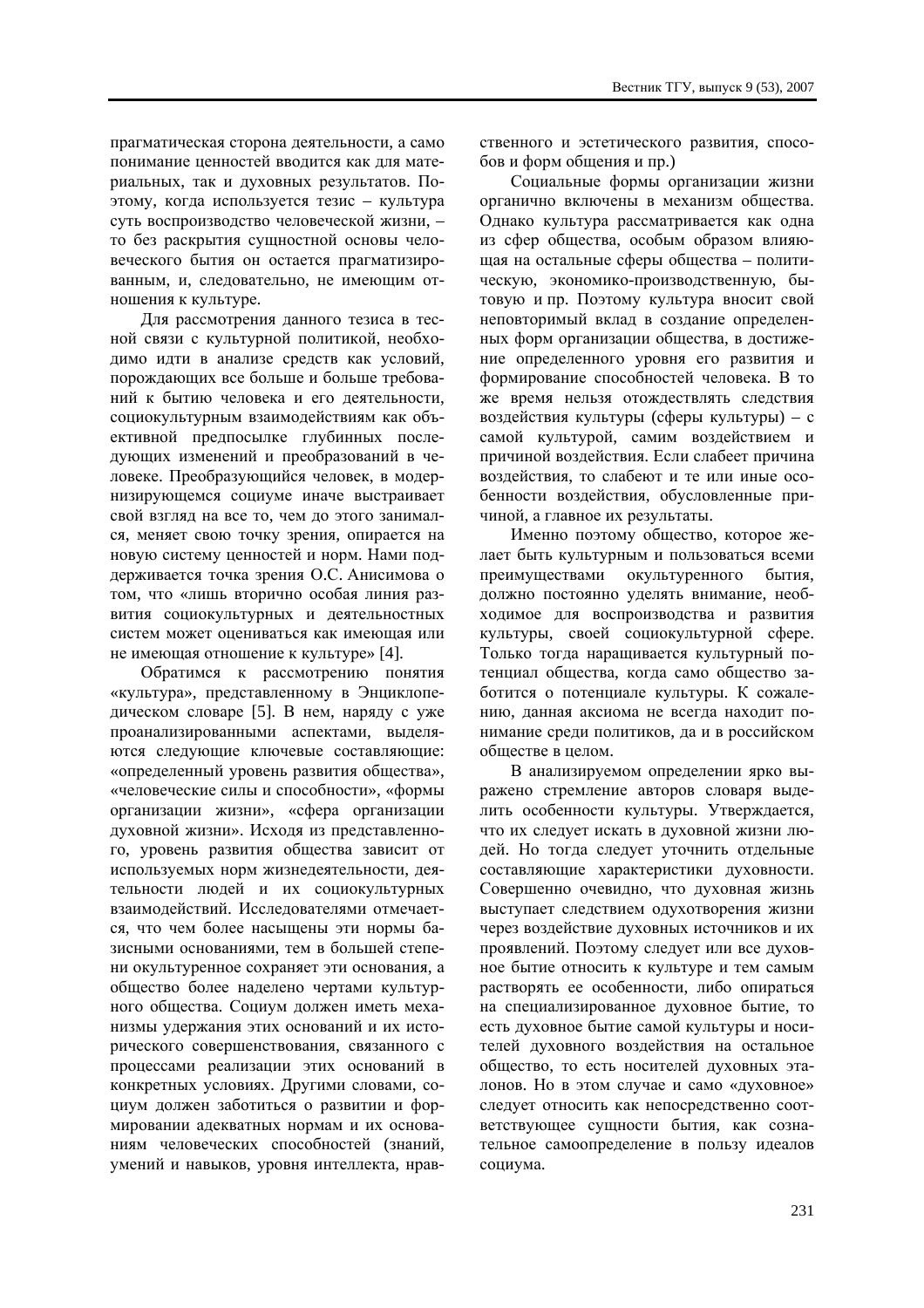прагматическая сторона деятельности, а само понимание ценностей вводится как для материальных, так и духовных результатов. Поэтому, когда используется тезис – культура суть воспроизводство человеческой жизни, – то без раскрытия сущностной основы человеческого бытия он остается прагматизированным, и, следовательно, не имеющим отношения к культуре.

Для рассмотрения данного тезиса в тесной связи с культурной политикой, необходимо идти в анализе средств как условий, порождающих все больше и больше требований к бытию человека и его деятельности, социокультурным взаимодействиям как объективной предпосылке глубинных последующих изменений и преобразований в человеке. Преобразующийся человек, в модернизирующемся социуме иначе выстраивает свой взгляд на все то, чем до этого занимался, меняет свою точку зрения, опирается на новую систему ценностей и норм. Нами поддерживается точка зрения О.С. Анисимова о том, что «лишь вторично особая линия развития социокультурных и деятельностных систем может оцениваться как имеющая или не имеющая отношение к культуре» [4].

Обратимся к рассмотрению понятия «культура», представленному в Энциклопедическом словаре [5]. В нем, наряду с уже проанализированными аспектами, выделяиотся следующие ключевые составляющие: «определенный уровень развития общества», «человеческие силы и способности», «формы организации жизни», «сфера организации духовной жизни». Исходя из представленного, уровень развития общества зависит от используемых норм жизнедеятельности, деятельности людей и их социокультурных взаимодействий. Исследователями отмечается, что чем более насышены эти нормы базисными основаниями, тем в большей степени окультуренное сохраняет эти основания, а общество более наделено чертами культурного общества. Социум должен иметь механизмы удержания этих оснований и их исторического совершенствования, связанного с процессами реализации этих оснований в конкретных условиях. Другими словами, социум должен заботиться о развитии и формировании адекватных нормам и их основаниям человеческих способностей (знаний, умений и навыков, уровня интеллекта, нравственного и эстетического развития, способов и форм общения и пр.)

Социальные формы организации жизни органично включены в механизм общества. Однако культура рассматривается как одна из сфер общества, особым образом влияющая на остальные сферы общества – политическую, экономико-производственную, бытовую и пр. Поэтому культура вносит свой неповторимый вклад в создание определенных форм организации общества, в достижение определенного уровня его развития и формирование способностей человека. В то же время нельзя отождествлять следствия воздействия культуры (сферы культуры) – с самой культурой, самим воздействием и причиной возлействия. Если слабеет причина воздействия, то слабеют и те или иные особенности воздействия, обусловленные причиной, а главное их результаты.

Именно поэтому общество, которое желает быть культурным и пользоваться всеми преимуществами окультуренного бытия, должно постоянно уделять внимание, необходимое для воспроизводства и развития культуры, своей социокультурной сфере. Только тогда наращивается культурный потенциал общества, когда само общество заботится о потенциале культуры. К сожалению, данная аксиома не всегда находит понимание среди политиков, да и в российском обществе в целом.

В анализируемом определении ярко выражено стремление авторов словаря выделить особенности культуры. Утверждается, что их следует искать в духовной жизни людей. Но тогда следует уточнить отдельные составляющие характеристики духовности. Совершенно очевидно, что духовная жизнь выступает следствием одухотворения жизни через воздействие духовных источников и их проявлений. Поэтому следует или все духовное бытие относить к культуре и тем самым растворять ее особенности, либо опираться на специализированное духовное бытие, то есть духовное бытие самой культуры и носителей духовного воздействия на остальное общество, то есть носителей духовных эталонов. Но в этом случае и само «духовное» следует относить как непосредственно соответствующее сущности бытия, как сознательное самоопределение в пользу идеалов социума.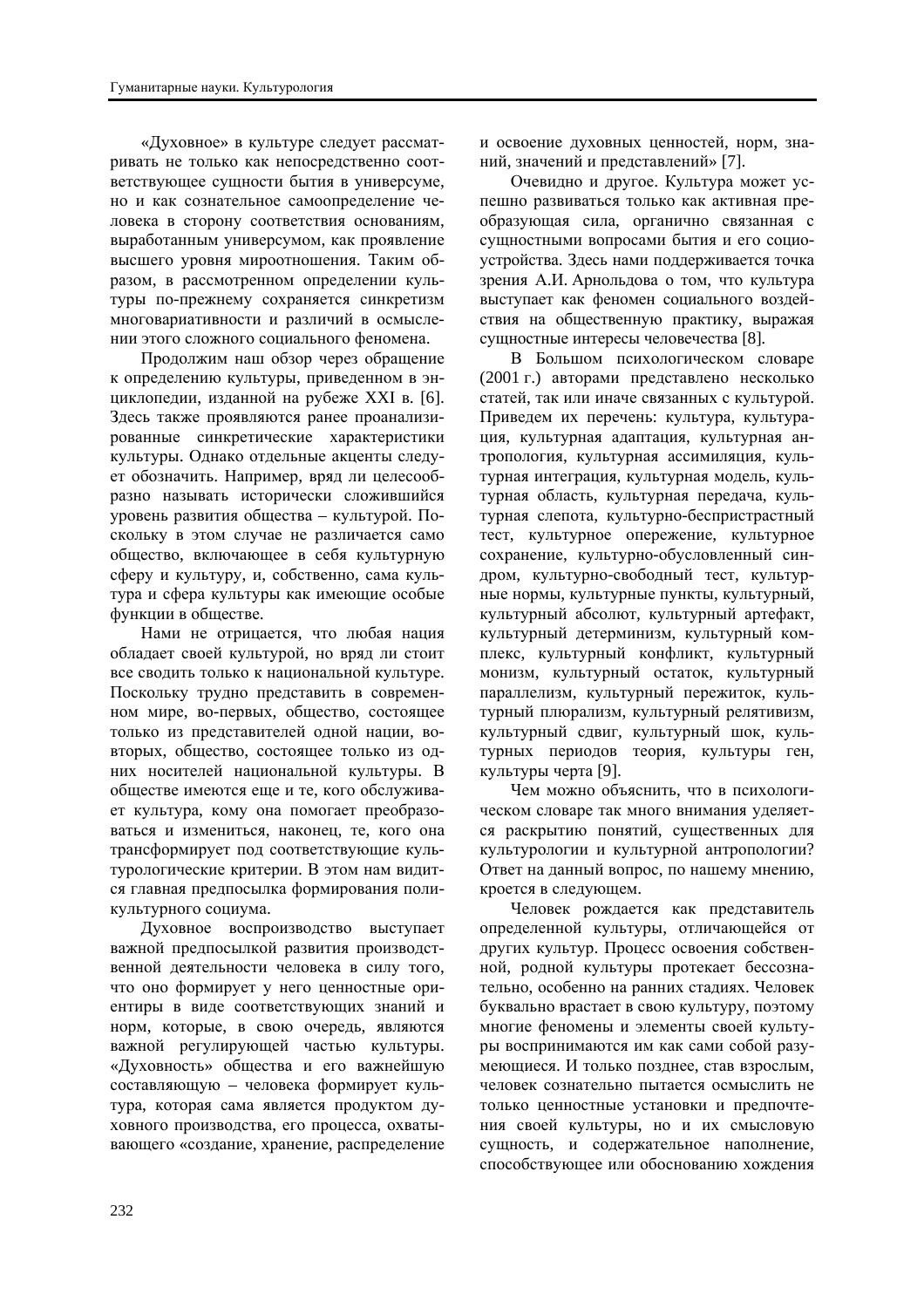«Духовное» в культуре следует рассматривать не только как непосредственно соответствующее сущности бытия в универсуме, но и как сознательное самоопределение человека в сторону соответствия основаниям, выработанным универсумом, как проявление высшего уровня мироотношения. Таким образом, в рассмотренном определении культуры по-прежнему сохраняется синкретизм многовариативности и различий в осмыслении этого сложного социального феномена.

Продолжим наш обзор через обращение к определению культуры, приведенном в энциклопедии, изданной на рубеже XXI в. [6]. Здесь также проявляются ранее проанализированные синкретические характеристики культуры. Однако отдельные акценты следует обозначить. Например, вряд ли целесообразно называть исторически сложившийся уровень развития общества – культурой. Поскольку в этом случае не различается само общество, включающее в себя культурную сферу и культуру, и, собственно, сама культура и сфера культуры как имеющие особые функции в обществе.

Нами не отрицается, что любая нация обладает своей культурой, но вряд ли стоит все сводить только к национальной культуре. Поскольку трудно представить в современном мире, во-первых, общество, состоящее только из представителей одной нации, вовторых, общество, состоящее только из одних носителей национальной культуры. В обществе имеются еще и те, кого обслуживает культура, кому она помогает преобразоваться и измениться, наконец, те, кого она трансформирует под соответствующие культурологические критерии. В этом нам видится главная предпосылка формирования поликультурного социума.

Луховное воспроизводство выступает важной предпосылкой развития производственной деятельности человека в силу того. что оно формирует у него ценностные ориентиры в виде соответствующих знаний и норм, которые, в свою очередь, являются важной регулирующей частью культуры. «Духовность» общества и его важнейшую составляющую – человека формирует культура, которая сама является продуктом духовного производства, его процесса, охватывающего «создание, хранение, распределение

и освоение духовных ценностей, норм, знаний, значений и представлений» [7].

Очевидно и другое. Культура может успешно развиваться только как активная преобразующая сила, органично связанная с сущностными вопросами бытия и его социоустройства. Здесь нами поддерживается точка зрения А.И. Арнольдова о том, что культура выступает как феномен социального воздействия на общественную практику, выражая сушностные интересы человечества [8].

В Большом психологическом словаре (2001 г.) авторами представлено несколько статей, так или иначе связанных с культурой. Приведем их перечень: культура, культурация, культурная адаптация, культурная антропология, культурная ассимиляция, культурная интеграция, культурная модель, культурная область, культурная передача, культурная слепота, культурно-беспристрастный тест, культурное опережение, культурное сохранение, культурно-обусловленный синдром, культурно-свободный тест, культурные нормы, культурные пункты, культурный, культурный абсолют, культурный артефакт, культурный детерминизм, культурный комплекс, культурный конфликт, культурный монизм, культурный остаток, культурный параллелизм, культурный пережиток, культурный плюрализм, культурный релятивизм, культурный сдвиг, культурный шок, культурных периодов теория, культуры ген, культуры черта [9].

Чем можно объяснить, что в психологическом словаре так много внимания уделяется раскрытию понятий, существенных для культурологии и культурной антропологии? Ответ на данный вопрос, по нашему мнению, кроется в следующем.

Человек рождается как представитель определенной культуры, отличающейся от других культур. Процесс освоения собственной, родной культуры протекает бессознательно, особенно на ранних стадиях. Человек буквально врастает в свою культуру, поэтому многие феномены и элементы своей культуры воспринимаются им как сами собой разумеющиеся. И только позднее, став взрослым, человек сознательно пытается осмыслить не только ценностные установки и предпочтения своей культуры, но и их смысловую сущность, и содержательное наполнение, способствующее или обоснованию хождения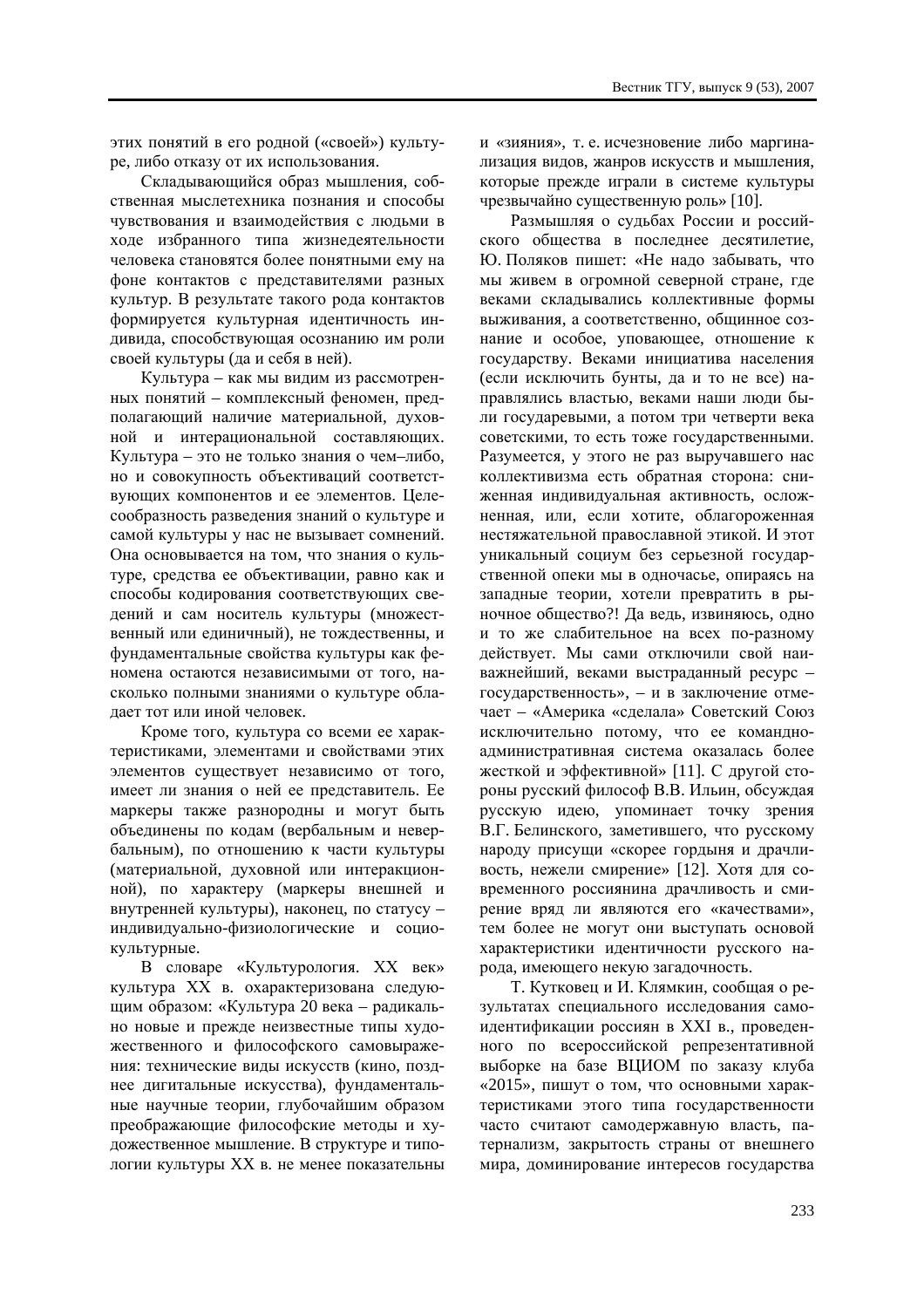этих понятий в его родной («своей») культуре, либо отказу от их использования.

Склалывающийся образ мышления, собственная мыслетехника познания и способы чувствования и взаимодействия с людьми в ходе избранного типа жизнедеятельности человека становятся более понятными ему на фоне контактов с представителями разных культур. В результате такого рода контактов формируется культурная идентичность индивила, способствующая осознанию им роли своей культуры (да и себя в ней).

Культура – как мы видим из рассмотренных понятий – комплексный феномен, предполагающий наличие материальной, духовной и интерациональной составляющих. Культура – это не только знания о чем-либо, но и совокупность объективаций соответствующих компонентов и ее элементов. Целесообразность разведения знаний о культуре и самой культуры у нас не вызывает сомнений. Она основывается на том, что знания о культуре, средства ее объективации, равно как и способы кодирования соответствующих сведений и сам носитель культуры (множественный или единичный), не тождественны, и фундаментальные свойства культуры как феномена остаются независимыми от того, насколько полными знаниями о культуре облалает тот или иной человек.

Кроме того, культура со всеми ее характеристиками, элементами и свойствами этих элементов существует независимо от того, имеет ли знания о ней ее представитель. Ее маркеры также разнородны и могут быть объединены по кодам (вербальным и невербальным), по отношению к части культуры (материальной, духовной или интеракционной), по характеру (маркеры внешней и внутренней культуры), наконец, по статусу индивидуально-физиологические и социокультурные.

В словаре «Культурология. XX век» культура XX в. охарактеризована следующим образом: «Культура 20 века – радикально новые и прежде неизвестные типы художественного и философского самовыражения: технические виды искусств (кино, позднее лигитальные искусства), фунламентальные научные теории, глубочайшим образом преображающие философские метолы и художественное мышление. В структуре и типологии культуры XX в. не менее показательны

и «зияния», т. е. исчезновение либо маргинализация видов, жанров искусств и мышления, которые прежде играли в системе культуры чрезвычайно существенную роль» [10].

Размышляя о судьбах России и российского общества в последнее десятилетие. Ю. Поляков пишет: «Не надо забывать, что мы живем в огромной северной стране, где веками склалывались коллективные формы выживания, а соответственно, общинное сознание и особое, уповающее, отношение к государству. Веками инициатива населения (если исключить бунты, да и то не все) направлялись властью, веками наши люди были государевыми, а потом три четверти века советскими, то есть тоже государственными. Разумеется, у этого не раз выручавшего нас коллективизма есть обратная сторона: сниженная индивидуальная активность, осложненная, или, если хотите, облагороженная нестяжательной православной этикой. И этот уникальный социум без серьезной государственной опеки мы в одночасье, опираясь на западные теории, хотели превратить в рыночное общество?! Да ведь, извиняюсь, одно и то же слабительное на всех по-разному действует. Мы сами отключили свой наиважнейший, веками выстраланный ресурс – государственность», – и в заключение отмечает – «Америка «сделала» Советский Союз исключительно потому, что ее командноадминистративная система оказалась более жесткой и эффективной» [11]. С другой стороны русский философ В.В. Ильин, обсуждая русскую идею, упоминает точку зрения В.Г. Белинского, заметившего, что русскому народу присущи «скорее гордыня и драчливость, нежели смирение» [12]. Хотя для современного россиянина драчливость и смирение вряд ли являются его «качествами», тем более не могут они выступать основой характеристики идентичности русского народа, имеющего некую загадочность.

Т. Кутковец и И. Клямкин, сообщая о результатах специального исследования самоидентификации россиян в XXI в., проведенного по всероссийской репрезентативной выборке на базе ВЦИОМ по заказу клуба «2015», пишут о том, что основными характеристиками этого типа государственности часто считают самодержавную власть, патернализм, закрытость страны от внешнего мира, доминирование интересов государства